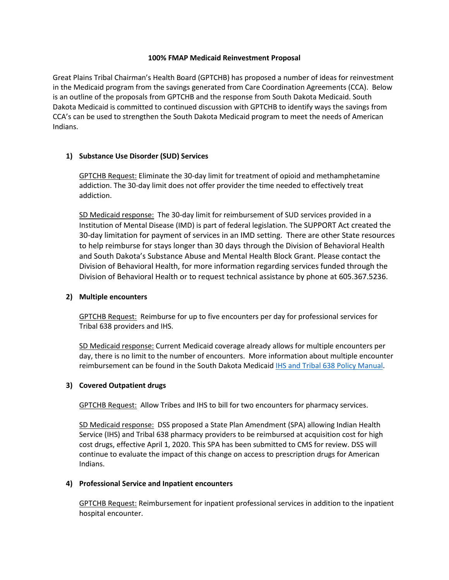#### **100% FMAP Medicaid Reinvestment Proposal**

Great Plains Tribal Chairman's Health Board (GPTCHB) has proposed a number of ideas for reinvestment in the Medicaid program from the savings generated from Care Coordination Agreements (CCA). Below is an outline of the proposals from GPTCHB and the response from South Dakota Medicaid. South Dakota Medicaid is committed to continued discussion with GPTCHB to identify ways the savings from CCA's can be used to strengthen the South Dakota Medicaid program to meet the needs of American Indians.

## **1) Substance Use Disorder (SUD) Services**

GPTCHB Request: Eliminate the 30-day limit for treatment of opioid and methamphetamine addiction. The 30-day limit does not offer provider the time needed to effectively treat addiction.

SD Medicaid response: The 30-day limit for reimbursement of SUD services provided in a Institution of Mental Disease (IMD) is part of federal legislation. The SUPPORT Act created the 30-day limitation for payment of services in an IMD setting. There are other State resources to help reimburse for stays longer than 30 days through the Division of Behavioral Health and South Dakota's Substance Abuse and Mental Health Block Grant. Please contact the Division of Behavioral Health, for more information regarding services funded through the Division of Behavioral Health or to request technical assistance by phone at 605.367.5236.

#### **2) Multiple encounters**

GPTCHB Request: Reimburse for up to five encounters per day for professional services for Tribal 638 providers and IHS.

SD Medicaid response: Current Medicaid coverage already allows for multiple encounters per day, there is no limit to the number of encounters. More information about multiple encounter reimbursement can be found in the South Dakota Medicaid **IHS and Tribal 638 Policy Manual**.

# **3) Covered Outpatient drugs**

GPTCHB Request: Allow Tribes and IHS to bill for two encounters for pharmacy services.

SD Medicaid response: DSS proposed a State Plan Amendment (SPA) allowing Indian Health Service (IHS) and Tribal 638 pharmacy providers to be reimbursed at acquisition cost for high cost drugs, effective April 1, 2020. This SPA has been submitted to CMS for review. DSS will continue to evaluate the impact of this change on access to prescription drugs for American Indians.

#### **4) Professional Service and Inpatient encounters**

GPTCHB Request: Reimbursement for inpatient professional services in addition to the inpatient hospital encounter.